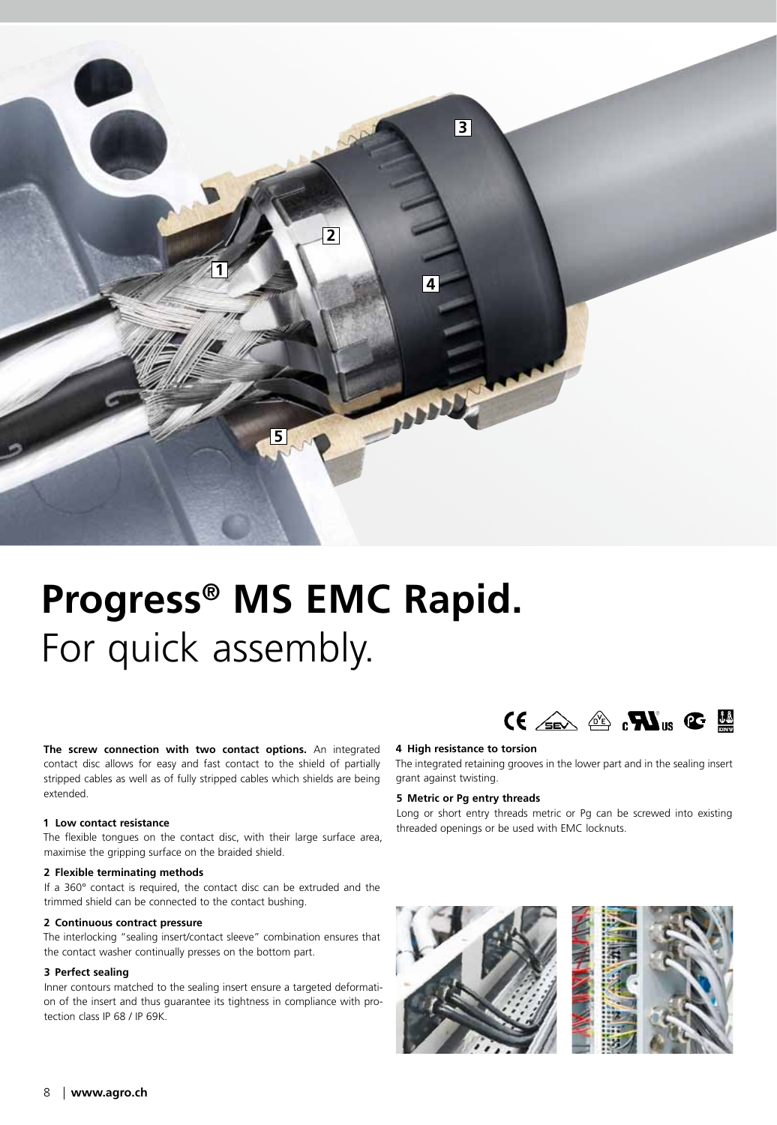

# **Progress® MS EMC Rapid.** For quick assembly.

**The screw connection with two contact options.** An integrated contact disc allows for easy and fast contact to the shield of partially stripped cables as well as of fully stripped cables which shields are being extended.

# **1 Low contact resistance**

The flexible tongues on the contact disc, with their large surface area, maximise the gripping surface on the braided shield.

## **2 Flexible terminating methods**

If a 360° contact is required, the contact disc can be extruded and the trimmed shield can be connected to the contact bushing.

### **2 Continuous contract pressure**

The interlocking "sealing insert/contact sleeve" combination ensures that the contact washer continually presses on the bottom part.

# **3 Perfect sealing**

Inner contours matched to the sealing insert ensure a targeted deformation of the insert and thus guarantee its tightness in compliance with protection class IP 68 / IP 69K.

# $\mathbf{C} \in \mathbb{R}$  of  $\mathbf{M}_{\text{us}} \subset \mathbb{R}$

## **4 High resistance to torsion**

The integrated retaining grooves in the lower part and in the sealing insert grant against twisting.

# **5 Metric or Pg entry threads**

Long or short entry threads metric or Pg can be screwed into existing threaded openings or be used with EMC locknuts.